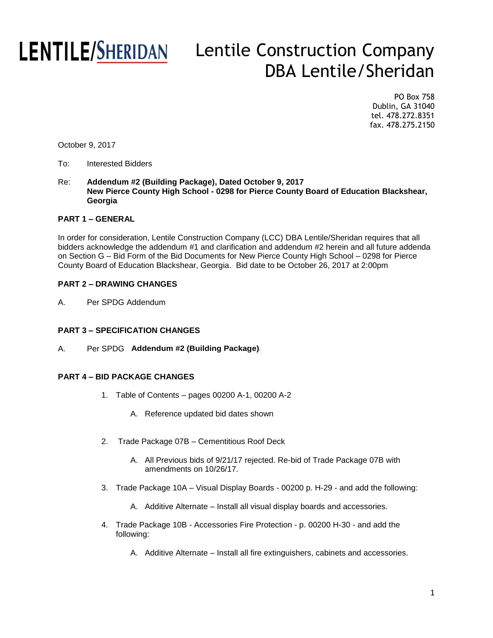## **SHERIDAN** Lentile Construction Company DBA Lentile/Sheridan

PO Box 758 Dublin, GA 31040 tel. 478.272.8351 fax. 478.275.2150

October 9, 2017

### To: Interested Bidders

Re: **Addendum #2 (Building Package), Dated October 9, 2017 New Pierce County High School - 0298 for Pierce County Board of Education Blackshear, Georgia**

### **PART 1 – GENERAL**

In order for consideration, Lentile Construction Company (LCC) DBA Lentile/Sheridan requires that all bidders acknowledge the addendum #1 and clarification and addendum #2 herein and all future addenda on Section G – Bid Form of the Bid Documents for New Pierce County High School – 0298 for Pierce County Board of Education Blackshear, Georgia. Bid date to be October 26, 2017 at 2:00pm

### **PART 2 – DRAWING CHANGES**

A. Per SPDG Addendum

### **PART 3 – SPECIFICATION CHANGES**

A. Per SPDG **Addendum #2 (Building Package),**

### **PART 4 – BID PACKAGE CHANGES**

1. Table of Contents – pages 00200 A-1, 00200 A-2

**New Pierce County High School -**

- A. Reference updated bid dates shown
- 2. Trade Package 07B Cementitious Roof Deck
	- A. All Previous bids of 9/21/17 rejected. Re-bid of Trade Package 07B with amendments on 10/26/17.
- 3. Trade Package 10A Visual Display Boards 00200 p. H-29 and add the following:
	- A. Additive Alternate Install all visual display boards and accessories.
- 4. Trade Package 10B Accessories Fire Protection p. 00200 H-30 and add the following:
	- A. Additive Alternate Install all fire extinguishers, cabinets and accessories.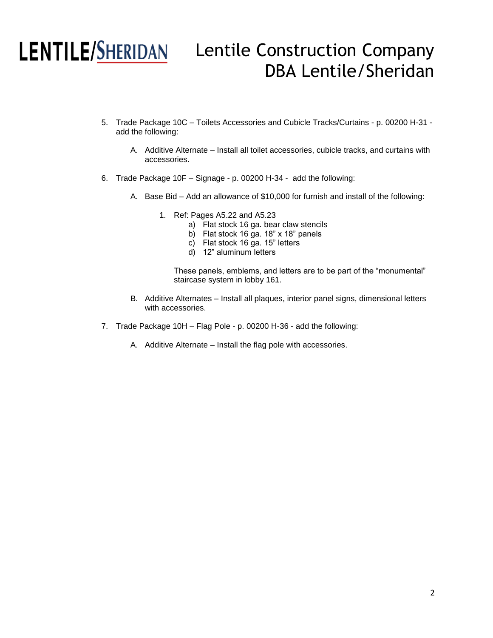## **SHERIDAN** Lentile Construction Company DBA Lentile/Sheridan

- 5. Trade Package 10C Toilets Accessories and Cubicle Tracks/Curtains p. 00200 H-31 add the following:
	- A. Additive Alternate Install all toilet accessories, cubicle tracks, and curtains with accessories.
- 6. Trade Package 10F Signage p. 00200 H-34 add the following:
	- A. Base Bid Add an allowance of \$10,000 for furnish and install of the following:
		- 1. Ref: Pages A5.22 and A5.23
			- a) Flat stock 16 ga. bear claw stencils
			- b) Flat stock 16 ga. 18" x 18" panels
			- c) Flat stock 16 ga. 15" letters
			- d) 12" aluminum letters

These panels, emblems, and letters are to be part of the "monumental" staircase system in lobby 161.

- B. Additive Alternates Install all plaques, interior panel signs, dimensional letters with accessories.
- 7. Trade Package 10H Flag Pole p. 00200 H-36 add the following:
	- A. Additive Alternate Install the flag pole with accessories.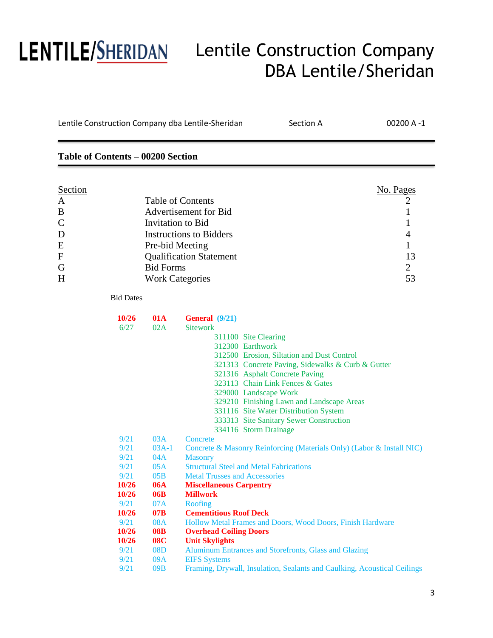## **SHERIDAN** Lentile Construction Company DBA Lentile/Sheridan

| Lentile Construction Company dba Lentile-Sheridan |                                                                                                                              |                        |                                      | Section A                                                                | 00200 A-1      |
|---------------------------------------------------|------------------------------------------------------------------------------------------------------------------------------|------------------------|--------------------------------------|--------------------------------------------------------------------------|----------------|
| Table of Contents - 00200 Section                 |                                                                                                                              |                        |                                      |                                                                          |                |
| Section                                           |                                                                                                                              |                        |                                      |                                                                          | No. Pages      |
|                                                   |                                                                                                                              |                        |                                      |                                                                          |                |
| A                                                 | <b>Table of Contents</b><br><b>Advertisement for Bid</b>                                                                     |                        |                                      |                                                                          | $\overline{c}$ |
| B                                                 | Invitation to Bid<br><b>Instructions to Bidders</b><br>Pre-bid Meeting<br><b>Qualification Statement</b><br><b>Bid Forms</b> |                        |                                      |                                                                          | 1              |
| $\mathcal{C}$                                     |                                                                                                                              |                        |                                      |                                                                          | 1              |
| D                                                 |                                                                                                                              |                        |                                      | 4                                                                        |                |
| E                                                 |                                                                                                                              |                        |                                      |                                                                          | 1              |
| $\mathbf F$                                       |                                                                                                                              |                        |                                      |                                                                          | 13             |
| G                                                 |                                                                                                                              |                        |                                      |                                                                          | $\overline{2}$ |
| H                                                 |                                                                                                                              | <b>Work Categories</b> |                                      |                                                                          | 53             |
|                                                   | <b>Bid Dates</b>                                                                                                             |                        |                                      |                                                                          |                |
|                                                   | 10/26                                                                                                                        | <b>01A</b>             | General (9/21)                       |                                                                          |                |
|                                                   | 6/27                                                                                                                         | 02A                    | <b>Sitework</b>                      |                                                                          |                |
|                                                   |                                                                                                                              |                        |                                      | 311100 Site Clearing                                                     |                |
|                                                   |                                                                                                                              |                        |                                      | 312300 Earthwork                                                         |                |
|                                                   |                                                                                                                              |                        |                                      | 312500 Erosion, Siltation and Dust Control                               |                |
|                                                   |                                                                                                                              |                        |                                      | 321313 Concrete Paving, Sidewalks & Curb & Gutter                        |                |
|                                                   |                                                                                                                              |                        |                                      | 321316 Asphalt Concrete Paving<br>323113 Chain Link Fences & Gates       |                |
|                                                   |                                                                                                                              |                        |                                      | 329000 Landscape Work                                                    |                |
|                                                   |                                                                                                                              |                        |                                      | 329210 Finishing Lawn and Landscape Areas                                |                |
|                                                   |                                                                                                                              |                        |                                      | 331116 Site Water Distribution System                                    |                |
|                                                   |                                                                                                                              |                        |                                      | 333313 Site Sanitary Sewer Construction                                  |                |
|                                                   |                                                                                                                              |                        |                                      | 334116 Storm Drainage                                                    |                |
|                                                   | 9/21                                                                                                                         | 03A                    | Concrete                             |                                                                          |                |
|                                                   | 9/21                                                                                                                         | $03A-1$                |                                      | Concrete & Masonry Reinforcing (Materials Only) (Labor & Install NIC)    |                |
|                                                   | 9/21<br>9/21                                                                                                                 | 04A<br>05A             | <b>Masonry</b>                       | <b>Structural Steel and Metal Fabrications</b>                           |                |
|                                                   | 9/21                                                                                                                         | 05B                    | <b>Metal Trusses and Accessories</b> |                                                                          |                |
|                                                   | 10/26                                                                                                                        | <b>06A</b>             | <b>Miscellaneous Carpentry</b>       |                                                                          |                |
|                                                   | 10/26                                                                                                                        | 06B                    | <b>Millwork</b>                      |                                                                          |                |
|                                                   | 9/21                                                                                                                         | 07A                    | Roofing                              |                                                                          |                |
|                                                   | 10/26                                                                                                                        | 07B                    | <b>Cementitious Roof Deck</b>        |                                                                          |                |
|                                                   | 9/21                                                                                                                         | <b>08A</b>             |                                      | Hollow Metal Frames and Doors, Wood Doors, Finish Hardware               |                |
|                                                   | 10/26                                                                                                                        | <b>08B</b>             | <b>Overhead Coiling Doors</b>        |                                                                          |                |
|                                                   | 10/26                                                                                                                        | <b>08C</b>             | <b>Unit Skylights</b>                |                                                                          |                |
|                                                   | 9/21                                                                                                                         | 08D                    |                                      | Aluminum Entrances and Storefronts, Glass and Glazing                    |                |
|                                                   | 9/21                                                                                                                         | 09A                    | <b>EIFS</b> Systems                  |                                                                          |                |
|                                                   | 9/21                                                                                                                         | 09B                    |                                      | Framing, Drywall, Insulation, Sealants and Caulking, Acoustical Ceilings |                |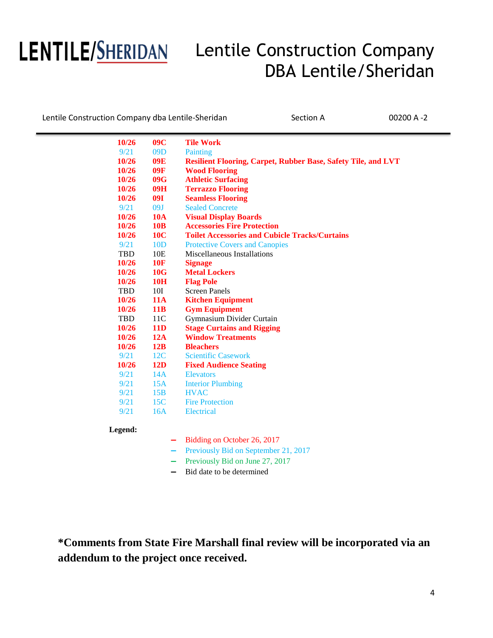# *|*

## Lentile Construction Company DBA Lentile/Sheridan

Lentile Construction Company dba Lentile-Sheridan Section A 00200 A -2

| 9/21<br>09D<br>Painting<br>10/26<br>09E<br><b>Resilient Flooring, Carpet, Rubber Base, Safety Tile, and LVT</b> |  |
|-----------------------------------------------------------------------------------------------------------------|--|
|                                                                                                                 |  |
|                                                                                                                 |  |
| <b>Wood Flooring</b><br>10/26<br>09F                                                                            |  |
| <b>Athletic Surfacing</b><br>10/26<br>09G                                                                       |  |
| <b>Terrazzo Flooring</b><br>10/26<br>09H                                                                        |  |
| <b>09I</b><br><b>Seamless Flooring</b><br>10/26                                                                 |  |
| <b>Sealed Concrete</b><br>9/21<br>09J                                                                           |  |
| <b>10A</b><br>10/26<br><b>Visual Display Boards</b>                                                             |  |
| <b>Accessories Fire Protection</b><br>10/26<br><b>10B</b>                                                       |  |
| <b>10C</b><br><b>Toilet Accessories and Cubicle Tracks/Curtains</b><br>10/26                                    |  |
| 9/21<br>10D<br><b>Protective Covers and Canopies</b>                                                            |  |
| <b>TBD</b><br>10E<br>Miscellaneous Installations                                                                |  |
| <b>10F</b><br>10/26<br><b>Signage</b>                                                                           |  |
| 10/26<br>10G<br><b>Metal Lockers</b>                                                                            |  |
| <b>10/26</b><br><b>10H</b><br><b>Flag Pole</b>                                                                  |  |
| 10I<br><b>Screen Panels</b><br><b>TBD</b>                                                                       |  |
| 10/26<br><b>11A</b><br><b>Kitchen Equipment</b>                                                                 |  |
| <b>Gym Equipment</b><br>10/26<br>11B                                                                            |  |
| Gymnasium Divider Curtain<br><b>TBD</b><br>11 <sup>C</sup>                                                      |  |
| <b>Stage Curtains and Rigging</b><br><b>11D</b><br>10/26                                                        |  |
| <b>Window Treatments</b><br>10/26<br>12A                                                                        |  |
| 10/26<br>12B<br><b>Bleachers</b>                                                                                |  |
| 9/21<br>12C<br><b>Scientific Casework</b>                                                                       |  |
| 10/26<br>12D<br><b>Fixed Audience Seating</b>                                                                   |  |
| 9/21<br>14A<br><b>Elevators</b>                                                                                 |  |
| 9/21<br><b>Interior Plumbing</b><br>15A                                                                         |  |
| 9/21<br>15B<br><b>HVAC</b>                                                                                      |  |
| 9/21<br>15C<br><b>Fire Protection</b>                                                                           |  |
| 9/21<br>16A<br><b>Electrical</b>                                                                                |  |

### **Legend:**

- **—** Bidding on October 26, 2017
- **—** Previously Bid on September 21, 2017
- **—** Previously Bid on June 27, 2017
- **—** Bid date to be determined

**\*Comments from State Fire Marshall final review will be incorporated via an addendum to the project once received.**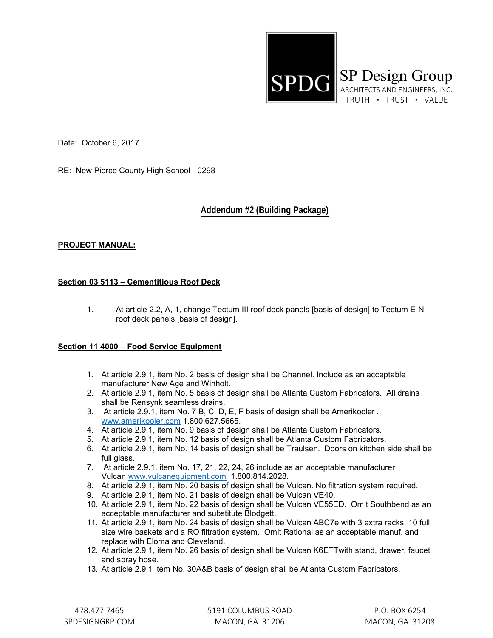

Date: October 6, 2017

RE: New Pierce County High School - 0298

### **Addendum #2 (Building Package),**

### **PROJECT MANUAL:**

### **Section 03 5113 – Cementitious Roof Deck**

1. At article 2.2, A, 1, change Tectum III roof deck panels [basis of design] to Tectum E-N roof deck panels [basis of design].

### **Section 11 4000 – Food Service Equipment**

- 1. At article 2.9.1, item No. 2 basis of design shall be Channel. Include as an acceptable manufacturer New Age and Winholt.
- 2. At article 2.9.1, item No. 5 basis of design shall be Atlanta Custom Fabricators. All drains shall be Rensynk seamless drains.
- 3. At article 2.9.1, item No. 7 B, C, D, E, F basis of design shall be Amerikooler . [www.amerikooler.com](http://www.amerikooler.com/) 1.800.627.5665.
- 4. At article 2.9.1, item No. 9 basis of design shall be Atlanta Custom Fabricators.
- 5. At article 2.9.1, item No. 12 basis of design shall be Atlanta Custom Fabricators.
- 6. At article 2.9.1, item No. 14 basis of design shall be Traulsen. Doors on kitchen side shall be full glass.
- 7. At article 2.9.1, item No. 17, 21, 22, 24, 26 include as an acceptable manufacturer Vulcan [www.vulcanequipment.com](http://www.vulcanequipment.com/) 1.800.814.2028.
- 8. At article 2.9.1, item No. 20 basis of design shall be Vulcan. No filtration system required.
- 9. At article 2.9.1, item No. 21 basis of design shall be Vulcan VE40.
- 10. At article 2.9.1, item No. 22 basis of design shall be Vulcan VE55ED. Omit Southbend as an acceptable manufacturer and substitute Blodgett.
- 11. At article 2.9.1, item No. 24 basis of design shall be Vulcan ABC7e with 3 extra racks, 10 full size wire baskets and a RO filtration system. Omit Rational as an acceptable manuf. and replace with Eloma and Cleveland.
- 12. At article 2.9.1, item No. 26 basis of design shall be Vulcan K6ETTwith stand, drawer, faucet and spray hose.
- 13. At article 2.9.1 item No. 30A&B basis of design shall be Atlanta Custom Fabricators.